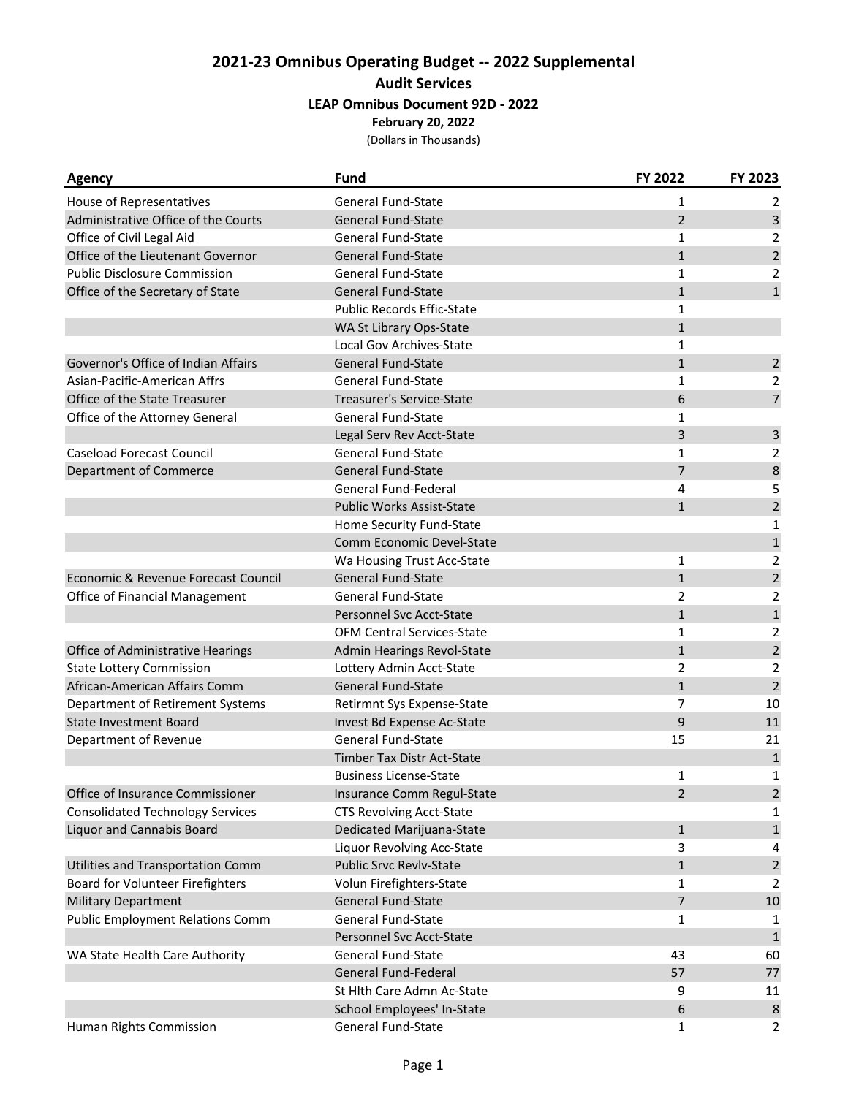## **2021‐23 Omnibus Operating Budget ‐‐ 2022 Supplemental Audit Services LEAP Omnibus Document 92D ‐ 2022 February 20, 2022**

(Dollars in Thousands)

| <b>Agency</b>                           | <b>Fund</b>                       | FY 2022        | FY 2023        |
|-----------------------------------------|-----------------------------------|----------------|----------------|
| House of Representatives                | <b>General Fund-State</b>         | 1              | 2              |
| Administrative Office of the Courts     | <b>General Fund-State</b>         | $\overline{2}$ | $\mathsf{3}$   |
| Office of Civil Legal Aid               | <b>General Fund-State</b>         | 1              | 2              |
| Office of the Lieutenant Governor       | <b>General Fund-State</b>         | $\mathbf{1}$   | $\overline{2}$ |
| <b>Public Disclosure Commission</b>     | <b>General Fund-State</b>         | 1              | $\overline{2}$ |
| Office of the Secretary of State        | General Fund-State                | $\mathbf{1}$   | $\mathbf{1}$   |
|                                         | <b>Public Records Effic-State</b> | 1              |                |
|                                         | WA St Library Ops-State           | $\mathbf{1}$   |                |
|                                         | Local Gov Archives-State          | 1              |                |
| Governor's Office of Indian Affairs     | <b>General Fund-State</b>         | $\mathbf{1}$   | $\overline{2}$ |
| Asian-Pacific-American Affrs            | <b>General Fund-State</b>         | 1              | $\overline{2}$ |
| Office of the State Treasurer           | Treasurer's Service-State         | 6              | $\overline{7}$ |
| Office of the Attorney General          | <b>General Fund-State</b>         | 1              |                |
|                                         | Legal Serv Rev Acct-State         | 3              | $\mathsf{3}$   |
| <b>Caseload Forecast Council</b>        | <b>General Fund-State</b>         | 1              | 2              |
| <b>Department of Commerce</b>           | <b>General Fund-State</b>         | $\overline{7}$ | 8              |
|                                         | General Fund-Federal              | 4              | 5              |
|                                         | <b>Public Works Assist-State</b>  | $\mathbf{1}$   | $\mathbf 2$    |
|                                         | Home Security Fund-State          |                | $\mathbf{1}$   |
|                                         | Comm Economic Devel-State         |                | $\mathbf{1}$   |
|                                         | Wa Housing Trust Acc-State        | 1              | 2              |
| Economic & Revenue Forecast Council     | <b>General Fund-State</b>         | $\mathbf{1}$   | $\overline{2}$ |
| Office of Financial Management          | <b>General Fund-State</b>         | $\overline{2}$ | 2              |
|                                         | Personnel Svc Acct-State          | $\mathbf{1}$   | $\mathbf 1$    |
|                                         | <b>OFM Central Services-State</b> | 1              | 2              |
| Office of Administrative Hearings       | Admin Hearings Revol-State        | $\mathbf{1}$   | $\mathbf 2$    |
| <b>State Lottery Commission</b>         | Lottery Admin Acct-State          | $\overline{2}$ | 2              |
| African-American Affairs Comm           | <b>General Fund-State</b>         | $\mathbf{1}$   | $\overline{2}$ |
| Department of Retirement Systems        | Retirmnt Sys Expense-State        | $\overline{7}$ | 10             |
| <b>State Investment Board</b>           | Invest Bd Expense Ac-State        | 9              | 11             |
| Department of Revenue                   | General Fund-State                | 15             | 21             |
|                                         | Timber Tax Distr Act-State        |                | $\mathbf{1}$   |
|                                         | <b>Business License-State</b>     | 1              | 1              |
| Office of Insurance Commissioner        | Insurance Comm Regul-State        | 2              | $\mathbf 2$    |
| <b>Consolidated Technology Services</b> | <b>CTS Revolving Acct-State</b>   |                | 1              |
| <b>Liquor and Cannabis Board</b>        | Dedicated Marijuana-State         | $\mathbf{1}$   | $\mathbf 1$    |
|                                         | Liquor Revolving Acc-State        | 3              | 4              |
| Utilities and Transportation Comm       | Public Srvc Revlv-State           | $\mathbf{1}$   | $\sqrt{2}$     |
| Board for Volunteer Firefighters        | Volun Firefighters-State          | 1              | 2              |
| <b>Military Department</b>              | General Fund-State                | $\overline{7}$ | 10             |
| <b>Public Employment Relations Comm</b> | General Fund-State                | 1              | 1              |
|                                         | Personnel Svc Acct-State          |                | $\mathbf{1}$   |
| WA State Health Care Authority          | <b>General Fund-State</b>         | 43             | 60             |
|                                         | <b>General Fund-Federal</b>       | 57             | 77             |
|                                         | St Hlth Care Admn Ac-State        | 9              | 11             |
|                                         | School Employees' In-State        | 6              | $\,8$          |
| Human Rights Commission                 | General Fund-State                | 1              | $\overline{2}$ |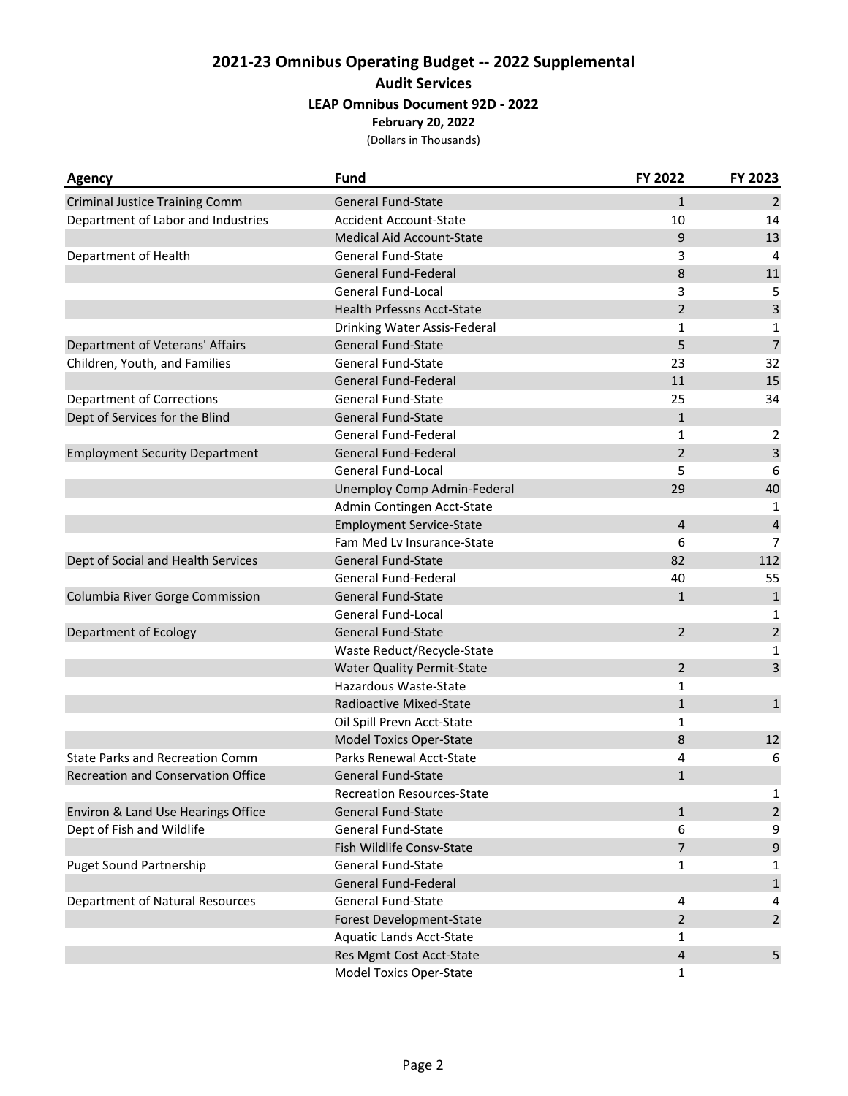## **2021‐23 Omnibus Operating Budget ‐‐ 2022 Supplemental Audit Services LEAP Omnibus Document 92D ‐ 2022 February 20, 2022**

(Dollars in Thousands)

| <b>Agency</b>                             | <b>Fund</b>                       | FY 2022        | FY 2023                 |
|-------------------------------------------|-----------------------------------|----------------|-------------------------|
| <b>Criminal Justice Training Comm</b>     | <b>General Fund-State</b>         | $\mathbf{1}$   | $\overline{2}$          |
| Department of Labor and Industries        | <b>Accident Account-State</b>     | 10             | 14                      |
|                                           | Medical Aid Account-State         | 9              | 13                      |
| Department of Health                      | <b>General Fund-State</b>         | 3              | 4                       |
|                                           | <b>General Fund-Federal</b>       | 8              | 11                      |
|                                           | General Fund-Local                | 3              | 5                       |
|                                           | <b>Health Prfessns Acct-State</b> | $\overline{2}$ | $\overline{\mathbf{3}}$ |
|                                           | Drinking Water Assis-Federal      | 1              | 1                       |
| Department of Veterans' Affairs           | <b>General Fund-State</b>         | 5              | $\overline{7}$          |
| Children, Youth, and Families             | General Fund-State                | 23             | 32                      |
|                                           | General Fund-Federal              | 11             | 15                      |
| <b>Department of Corrections</b>          | <b>General Fund-State</b>         | 25             | 34                      |
| Dept of Services for the Blind            | <b>General Fund-State</b>         | $\mathbf{1}$   |                         |
|                                           | General Fund-Federal              | 1              | 2                       |
| <b>Employment Security Department</b>     | <b>General Fund-Federal</b>       | $\overline{2}$ | $\overline{3}$          |
|                                           | <b>General Fund-Local</b>         | 5              | 6                       |
|                                           | Unemploy Comp Admin-Federal       | 29             | 40                      |
|                                           | Admin Contingen Acct-State        |                | 1                       |
|                                           | <b>Employment Service-State</b>   | 4              | $\overline{\mathbf{4}}$ |
|                                           | Fam Med Lv Insurance-State        | 6              | $\overline{7}$          |
| Dept of Social and Health Services        | <b>General Fund-State</b>         | 82             | 112                     |
|                                           | General Fund-Federal              | 40             | 55                      |
| Columbia River Gorge Commission           | <b>General Fund-State</b>         | $\mathbf{1}$   | $\mathbf 1$             |
|                                           | General Fund-Local                |                | 1                       |
| Department of Ecology                     | <b>General Fund-State</b>         | $\overline{2}$ | $\mathbf 2$             |
|                                           | Waste Reduct/Recycle-State        |                | 1                       |
|                                           | <b>Water Quality Permit-State</b> | 2              | 3                       |
|                                           | Hazardous Waste-State             | 1              |                         |
|                                           | Radioactive Mixed-State           | $\mathbf{1}$   | $\mathbf 1$             |
|                                           | Oil Spill Prevn Acct-State        | 1              |                         |
|                                           | <b>Model Toxics Oper-State</b>    | 8              | 12                      |
| <b>State Parks and Recreation Comm</b>    | Parks Renewal Acct-State          | 4              | 6                       |
| <b>Recreation and Conservation Office</b> | <b>General Fund-State</b>         | $\mathbf{1}$   |                         |
|                                           | Recreation Resources-State        |                | 1                       |
| Environ & Land Use Hearings Office        | <b>General Fund-State</b>         | 1              | $\overline{2}$          |
| Dept of Fish and Wildlife                 | General Fund-State                | 6              | 9                       |
|                                           | Fish Wildlife Consv-State         | 7              | $\mathsf 9$             |
| <b>Puget Sound Partnership</b>            | General Fund-State                | 1              | 1                       |
|                                           | <b>General Fund-Federal</b>       |                | $\mathbf{1}$            |
| Department of Natural Resources           | General Fund-State                | 4              | 4                       |
|                                           | Forest Development-State          | $\overline{2}$ | $\overline{2}$          |
|                                           | Aquatic Lands Acct-State          | 1              |                         |
|                                           | Res Mgmt Cost Acct-State          | 4              | 5                       |
|                                           | Model Toxics Oper-State           | 1              |                         |